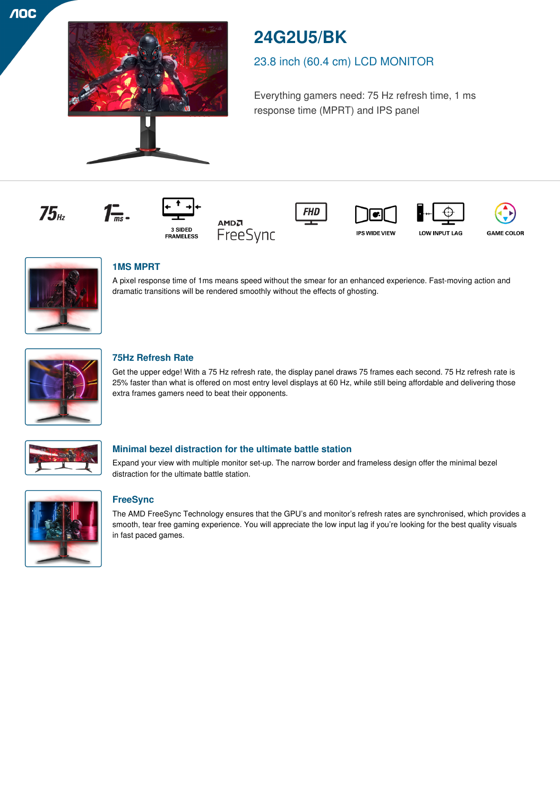

# **24G2U5/BK**

## 23.8 inch (60.4 cm) LCD MONITOR

Everything gamers need: 75 Hz refresh time, 1 ms response time (MPRT) and IPS panel

















## **1MS MPRT**

 $\mathcal{T}_{\overline{ms}}$ .

A pixel response time of 1ms means speed without the smear for an enhanced experience. Fast-moving action and dramatic transitions will be rendered smoothly without the effects of ghosting.



## **75Hz Refresh Rate**

Get the upper edge! With a 75 Hz refresh rate, the display panel draws 75 frames each second. 75 Hz refresh rate is 25% faster than what is offered on most entry level displays at 60 Hz, while still being affordable and delivering those extra frames gamers need to beat their opponents.



## **Minimal bezel distraction for the ultimate battle station**

Expand your view with multiple monitor set-up. The narrow border and frameless design offer the minimal bezel distraction for the ultimate battle station.



## **FreeSync**

The AMD FreeSync Technology ensures that the GPU's and monitor's refresh rates are synchronised, which provides a smooth, tear free gaming experience. You will appreciate the low input lag if you're looking for the best quality visuals in fast paced games.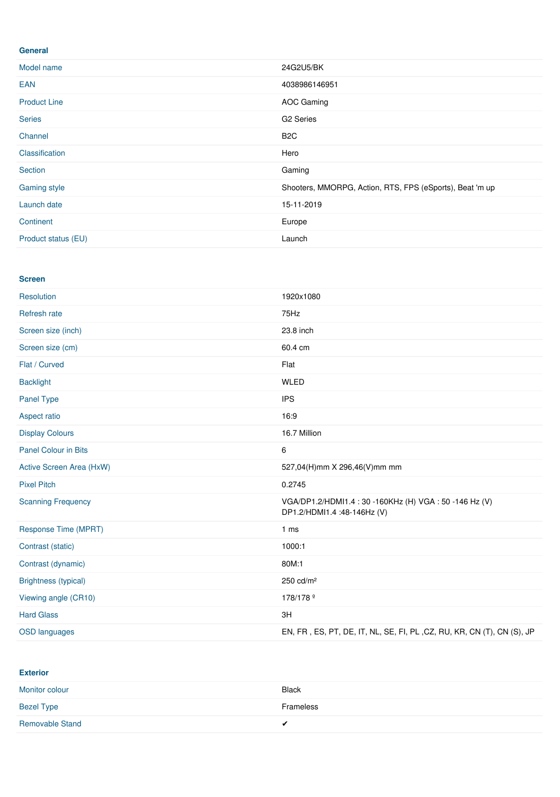#### **General**

| Model name          | 24G2U5/BK                                                |
|---------------------|----------------------------------------------------------|
| <b>EAN</b>          | 4038986146951                                            |
| <b>Product Line</b> | AOC Gaming                                               |
| <b>Series</b>       | G <sub>2</sub> Series                                    |
| Channel             | B <sub>2</sub> C                                         |
| Classification      | Hero                                                     |
| Section             | Gaming                                                   |
| Gaming style        | Shooters, MMORPG, Action, RTS, FPS (eSports), Beat 'm up |
| Launch date         | 15-11-2019                                               |
| Continent           | Europe                                                   |
| Product status (EU) | Launch                                                   |

#### **Screen**

| Resolution                  | 1920x1080                                                                        |
|-----------------------------|----------------------------------------------------------------------------------|
| Refresh rate                | 75Hz                                                                             |
| Screen size (inch)          | 23.8 inch                                                                        |
| Screen size (cm)            | 60.4 cm                                                                          |
| Flat / Curved               | Flat                                                                             |
| <b>Backlight</b>            | <b>WLED</b>                                                                      |
| Panel Type                  | <b>IPS</b>                                                                       |
| Aspect ratio                | 16:9                                                                             |
| <b>Display Colours</b>      | 16.7 Million                                                                     |
| <b>Panel Colour in Bits</b> | 6                                                                                |
| Active Screen Area (HxW)    | 527,04(H)mm X 296,46(V)mm mm                                                     |
| <b>Pixel Pitch</b>          | 0.2745                                                                           |
| <b>Scanning Frequency</b>   | VGA/DP1.2/HDMI1.4:30-160KHz (H) VGA:50-146 Hz (V)<br>DP1.2/HDMI1.4 :48-146Hz (V) |
| Response Time (MPRT)        | 1 <sub>ms</sub>                                                                  |
| Contrast (static)           | 1000:1                                                                           |
| Contrast (dynamic)          | 80M:1                                                                            |
| <b>Brightness (typical)</b> | 250 cd/m <sup>2</sup>                                                            |
| Viewing angle (CR10)        | 178/178 <sup>o</sup>                                                             |
| <b>Hard Glass</b>           | 3H                                                                               |
| <b>OSD languages</b>        | EN, FR, ES, PT, DE, IT, NL, SE, FI, PL, CZ, RU, KR, CN (T), CN (S), JP           |

**Exterior**

| Monitor colour         | <b>Black</b> |
|------------------------|--------------|
| <b>Bezel Type</b>      | Frameless    |
| <b>Removable Stand</b> | $\cdot$      |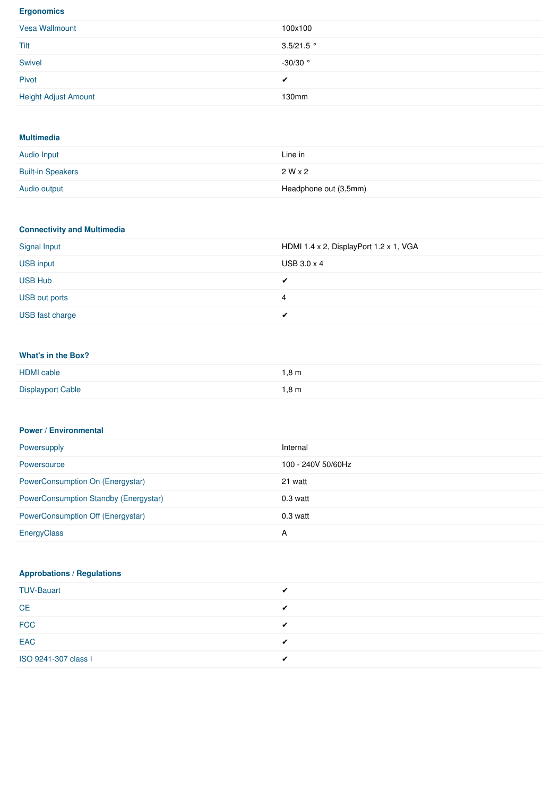#### **Ergonomics**

| Vesa Wallmount              | 100x100      |
|-----------------------------|--------------|
| Tilt                        | $3.5/21.5$ ° |
| Swivel                      | $-30/30$ °   |
| Pivot                       | ◢            |
| <b>Height Adjust Amount</b> | 130mm        |

#### **Multimedia**

| <b>Audio Input</b>       | Line in               |
|--------------------------|-----------------------|
| <b>Built-in Speakers</b> | $2W \times 2$         |
| Audio output             | Headphone out (3,5mm) |

## **Connectivity and Multimedia**

| Signal Input     | HDMI 1.4 x 2, DisplayPort 1.2 x 1, VGA |
|------------------|----------------------------------------|
| <b>USB input</b> | USB $3.0 \times 4$                     |
| <b>USB Hub</b>   | ✔                                      |
| USB out ports    | 4                                      |
| USB fast charge  |                                        |

## **What's in the Box?**

| <b>HDMI</b> cable        | 1,8 m |
|--------------------------|-------|
| <b>Displayport Cable</b> | 1,8m  |

#### **Power / Environmental**

| Powersupply                                  | Internal           |
|----------------------------------------------|--------------------|
| Powersource                                  | 100 - 240V 50/60Hz |
| PowerConsumption On (Energystar)             | 21 watt            |
| <b>PowerConsumption Standby (Energystar)</b> | $0.3$ watt         |
| PowerConsumption Off (Energystar)            | $0.3$ watt         |
| EnergyClass                                  | A                  |

## **Approbations / Regulations**

| <b>TUV-Bauart</b>    |  |
|----------------------|--|
| <b>CE</b>            |  |
| <b>FCC</b>           |  |
| EAC                  |  |
| ISO 9241-307 class I |  |